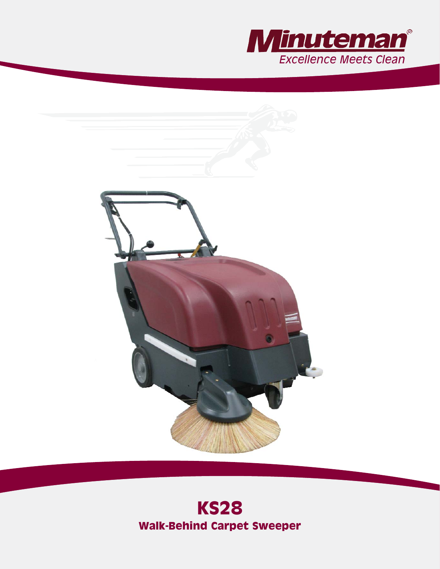



# **KS28 Walk-Behind Carpet Sweeper**